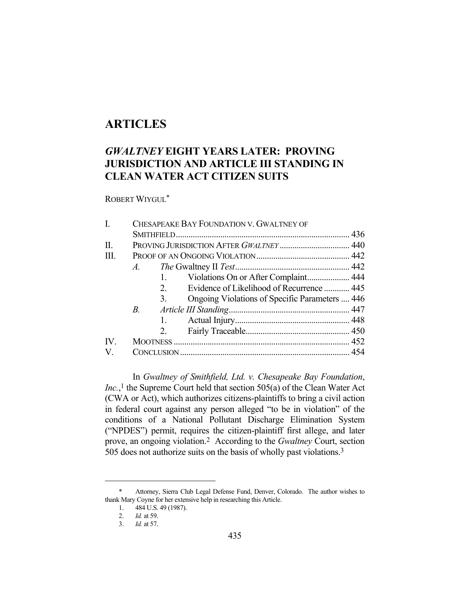# **ARTICLES**

## *GWALTNEY* **EIGHT YEARS LATER: PROVING JURISDICTION AND ARTICLE III STANDING IN CLEAN WATER ACT CITIZEN SUITS**

ROBERT WIYGUL\*

| I.                    | CHESAPEAKE BAY FOUNDATION V. GWALTNEY OF |    |                                                |  |
|-----------------------|------------------------------------------|----|------------------------------------------------|--|
|                       |                                          |    |                                                |  |
| II.                   | PROVING JURISDICTION AFTER GWALTNEY 440  |    |                                                |  |
| III.                  |                                          |    |                                                |  |
|                       | $A$ .                                    |    |                                                |  |
|                       |                                          | 1. | Violations On or After Complaint 444           |  |
|                       |                                          | 2. | Evidence of Likelihood of Recurrence  445      |  |
|                       |                                          | 3. | Ongoing Violations of Specific Parameters  446 |  |
|                       | $B_{\cdot}$                              |    |                                                |  |
|                       |                                          | 1. |                                                |  |
|                       |                                          | 2. |                                                |  |
| $\mathbf{IV}_{\cdot}$ |                                          |    |                                                |  |
| $V_{\cdot}$           |                                          |    |                                                |  |
|                       |                                          |    |                                                |  |

 In *Gwaltney of Smithfield, Ltd. v. Chesapeake Bay Foundation*, *Inc.*,<sup>1</sup> the Supreme Court held that section 505(a) of the Clean Water Act (CWA or Act), which authorizes citizens-plaintiffs to bring a civil action in federal court against any person alleged "to be in violation" of the conditions of a National Pollutant Discharge Elimination System ("NPDES") permit, requires the citizen-plaintiff first allege, and later prove, an ongoing violation.2 According to the *Gwaltney* Court, section 505 does not authorize suits on the basis of wholly past violations.3

 <sup>\*</sup> Attorney, Sierra Club Legal Defense Fund, Denver, Colorado. The author wishes to thank Mary Coyne for her extensive help in researching this Article.

 <sup>1. 484</sup> U.S. 49 (1987).

 <sup>2.</sup> *Id.* at 59.

 <sup>3.</sup> *Id.* at 57.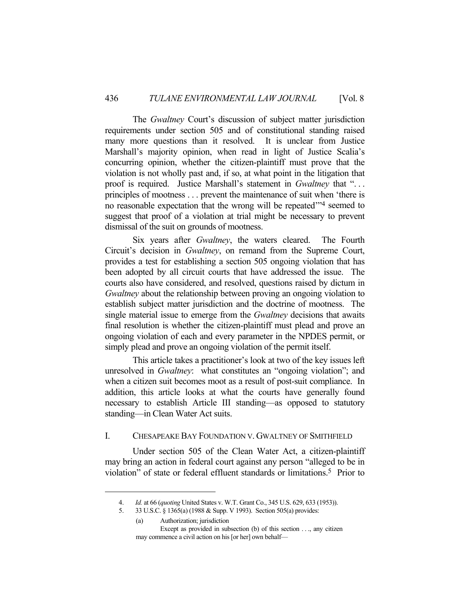The *Gwaltney* Court's discussion of subject matter jurisdiction requirements under section 505 and of constitutional standing raised many more questions than it resolved. It is unclear from Justice Marshall's majority opinion, when read in light of Justice Scalia's concurring opinion, whether the citizen-plaintiff must prove that the violation is not wholly past and, if so, at what point in the litigation that proof is required. Justice Marshall's statement in *Gwaltney* that ". . . principles of mootness . . . prevent the maintenance of suit when 'there is no reasonable expectation that the wrong will be repeated'"4 seemed to suggest that proof of a violation at trial might be necessary to prevent dismissal of the suit on grounds of mootness.

 Six years after *Gwaltney*, the waters cleared. The Fourth Circuit's decision in *Gwaltney*, on remand from the Supreme Court, provides a test for establishing a section 505 ongoing violation that has been adopted by all circuit courts that have addressed the issue. The courts also have considered, and resolved, questions raised by dictum in *Gwaltney* about the relationship between proving an ongoing violation to establish subject matter jurisdiction and the doctrine of mootness. The single material issue to emerge from the *Gwaltney* decisions that awaits final resolution is whether the citizen-plaintiff must plead and prove an ongoing violation of each and every parameter in the NPDES permit, or simply plead and prove an ongoing violation of the permit itself.

 This article takes a practitioner's look at two of the key issues left unresolved in *Gwaltney*: what constitutes an "ongoing violation"; and when a citizen suit becomes moot as a result of post-suit compliance. In addition, this article looks at what the courts have generally found necessary to establish Article III standing—as opposed to statutory standing—in Clean Water Act suits.

## I. CHESAPEAKE BAY FOUNDATION V. GWALTNEY OF SMITHFIELD

 Under section 505 of the Clean Water Act, a citizen-plaintiff may bring an action in federal court against any person "alleged to be in violation" of state or federal effluent standards or limitations.5 Prior to

(a) Authorization; jurisdiction Except as provided in subsection (b) of this section . . ., any citizen may commence a civil action on his [or her] own behalf—

 <sup>4.</sup> *Id.* at 66 (*quoting* United States v. W.T. Grant Co., 345 U.S. 629, 633 (1953)).

 <sup>5. 33</sup> U.S.C. § 1365(a) (1988 & Supp. V 1993). Section 505(a) provides: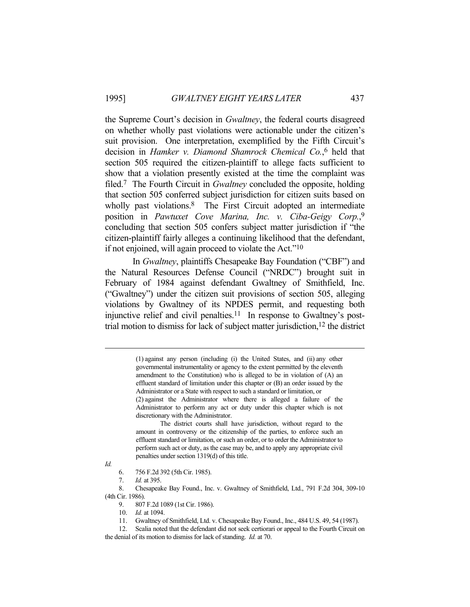the Supreme Court's decision in *Gwaltney*, the federal courts disagreed on whether wholly past violations were actionable under the citizen's suit provision. One interpretation, exemplified by the Fifth Circuit's decision in *Hamker v. Diamond Shamrock Chemical Co.*, 6 held that section 505 required the citizen-plaintiff to allege facts sufficient to show that a violation presently existed at the time the complaint was filed.7 The Fourth Circuit in *Gwaltney* concluded the opposite, holding that section 505 conferred subject jurisdiction for citizen suits based on wholly past violations.<sup>8</sup> The First Circuit adopted an intermediate position in *Pawtuxet Cove Marina, Inc. v. Ciba-Geigy Corp.*, 9 concluding that section 505 confers subject matter jurisdiction if "the citizen-plaintiff fairly alleges a continuing likelihood that the defendant, if not enjoined, will again proceed to violate the Act."10

 In *Gwaltney*, plaintiffs Chesapeake Bay Foundation ("CBF") and the Natural Resources Defense Council ("NRDC") brought suit in February of 1984 against defendant Gwaltney of Smithfield, Inc. ("Gwaltney") under the citizen suit provisions of section 505, alleging violations by Gwaltney of its NPDES permit, and requesting both injunctive relief and civil penalties.<sup>11</sup> In response to Gwaltney's posttrial motion to dismiss for lack of subject matter jurisdiction, 12 the district

*Id.*

<sup>(1)</sup> against any person (including (i) the United States, and (ii) any other governmental instrumentality or agency to the extent permitted by the eleventh amendment to the Constitution) who is alleged to be in violation of (A) an effluent standard of limitation under this chapter or (B) an order issued by the Administrator or a State with respect to such a standard or limitation, or

<sup>(2)</sup> against the Administrator where there is alleged a failure of the Administrator to perform any act or duty under this chapter which is not discretionary with the Administrator.

The district courts shall have jurisdiction, without regard to the amount in controversy or the citizenship of the parties, to enforce such an effluent standard or limitation, or such an order, or to order the Administrator to perform such act or duty, as the case may be, and to apply any appropriate civil penalties under section 1319(d) of this title.

 <sup>6. 756</sup> F.2d 392 (5th Cir. 1985).

 <sup>7.</sup> *Id.* at 395.

 <sup>8.</sup> Chesapeake Bay Found., Inc. v. Gwaltney of Smithfield, Ltd., 791 F.2d 304, 309-10 (4th Cir. 1986).

 <sup>9. 807</sup> F.2d 1089 (1st Cir. 1986).

 <sup>10.</sup> *Id.* at 1094.

 <sup>11.</sup> Gwaltney of Smithfield, Ltd. v. Chesapeake Bay Found., Inc., 484 U.S. 49, 54 (1987).

 <sup>12.</sup> Scalia noted that the defendant did not seek certiorari or appeal to the Fourth Circuit on the denial of its motion to dismiss for lack of standing. *Id.* at 70.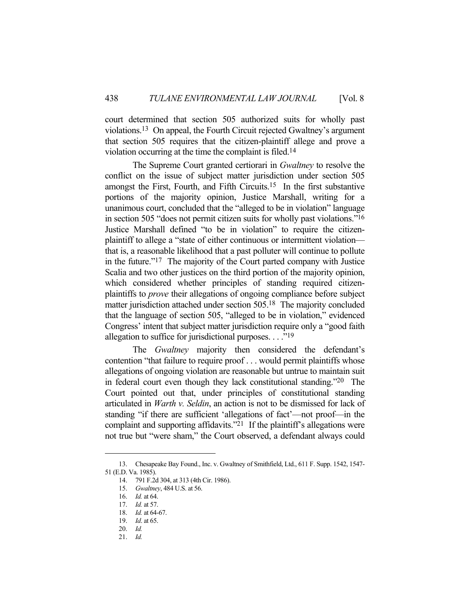court determined that section 505 authorized suits for wholly past violations.13 On appeal, the Fourth Circuit rejected Gwaltney's argument that section 505 requires that the citizen-plaintiff allege and prove a violation occurring at the time the complaint is filed.14

 The Supreme Court granted certiorari in *Gwaltney* to resolve the conflict on the issue of subject matter jurisdiction under section 505 amongst the First, Fourth, and Fifth Circuits.15 In the first substantive portions of the majority opinion, Justice Marshall, writing for a unanimous court, concluded that the "alleged to be in violation" language in section 505 "does not permit citizen suits for wholly past violations."16 Justice Marshall defined "to be in violation" to require the citizenplaintiff to allege a "state of either continuous or intermittent violation that is, a reasonable likelihood that a past polluter will continue to pollute in the future."17 The majority of the Court parted company with Justice Scalia and two other justices on the third portion of the majority opinion, which considered whether principles of standing required citizenplaintiffs to *prove* their allegations of ongoing compliance before subject matter jurisdiction attached under section 505.18 The majority concluded that the language of section 505, "alleged to be in violation," evidenced Congress' intent that subject matter jurisdiction require only a "good faith allegation to suffice for jurisdictional purposes. . . ."<sup>19</sup>

 The *Gwaltney* majority then considered the defendant's contention "that failure to require proof . . . would permit plaintiffs whose allegations of ongoing violation are reasonable but untrue to maintain suit in federal court even though they lack constitutional standing."20 The Court pointed out that, under principles of constitutional standing articulated in *Warth v. Seldin*, an action is not to be dismissed for lack of standing "if there are sufficient 'allegations of fact'—not proof—in the complaint and supporting affidavits." $2^1$  If the plaintiff's allegations were not true but "were sham," the Court observed, a defendant always could

 <sup>13.</sup> Chesapeake Bay Found., Inc. v. Gwaltney of Smithfield, Ltd., 611 F. Supp. 1542, 1547- 51 (E.D. Va. 1985).

 <sup>14. 791</sup> F.2d 304, at 313 (4th Cir. 1986).

 <sup>15.</sup> *Gwaltney*, 484 U.S. at 56.

 <sup>16.</sup> *Id.* at 64.

 <sup>17.</sup> *Id.* at 57.

 <sup>18.</sup> *Id.* at 64-67.

 <sup>19.</sup> *Id*. at 65.

 <sup>20.</sup> *Id.*

 <sup>21.</sup> *Id.*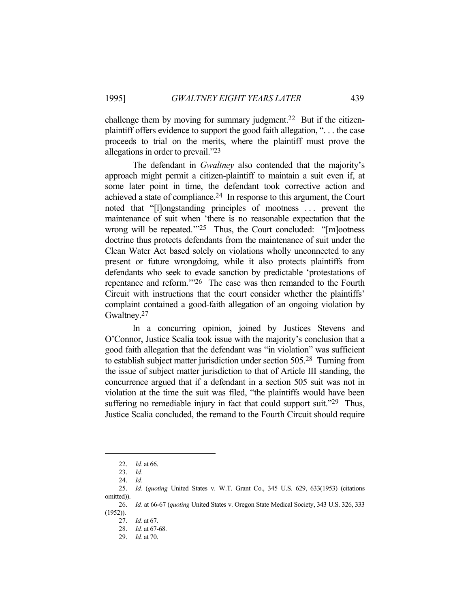challenge them by moving for summary judgment.<sup>22</sup> But if the citizenplaintiff offers evidence to support the good faith allegation, ". . . the case proceeds to trial on the merits, where the plaintiff must prove the allegations in order to prevail."23

 The defendant in *Gwaltney* also contended that the majority's approach might permit a citizen-plaintiff to maintain a suit even if, at some later point in time, the defendant took corrective action and achieved a state of compliance.24 In response to this argument, the Court noted that "[l]ongstanding principles of mootness . . . prevent the maintenance of suit when 'there is no reasonable expectation that the wrong will be repeated."<sup>25</sup> Thus, the Court concluded: "[m]ootness doctrine thus protects defendants from the maintenance of suit under the Clean Water Act based solely on violations wholly unconnected to any present or future wrongdoing, while it also protects plaintiffs from defendants who seek to evade sanction by predictable 'protestations of repentance and reform.'"26 The case was then remanded to the Fourth Circuit with instructions that the court consider whether the plaintiffs' complaint contained a good-faith allegation of an ongoing violation by Gwaltney.27

 In a concurring opinion, joined by Justices Stevens and O'Connor, Justice Scalia took issue with the majority's conclusion that a good faith allegation that the defendant was "in violation" was sufficient to establish subject matter jurisdiction under section 505.28 Turning from the issue of subject matter jurisdiction to that of Article III standing, the concurrence argued that if a defendant in a section 505 suit was not in violation at the time the suit was filed, "the plaintiffs would have been suffering no remediable injury in fact that could support suit."<sup>29</sup> Thus, Justice Scalia concluded, the remand to the Fourth Circuit should require

 <sup>22.</sup> *Id.* at 66.

 <sup>23.</sup> *Id.*

 <sup>24.</sup> *Id.*

 <sup>25.</sup> *Id.* (*quoting* United States v. W.T. Grant Co., 345 U.S. 629, 633(1953) (citations omitted)).

 <sup>26.</sup> *Id.* at 66-67 (*quoting* United States v. Oregon State Medical Society, 343 U.S. 326, 333 (1952)).

 <sup>27.</sup> *Id.* at 67.

 <sup>28.</sup> *Id.* at 67-68.

 <sup>29.</sup> *Id.* at 70.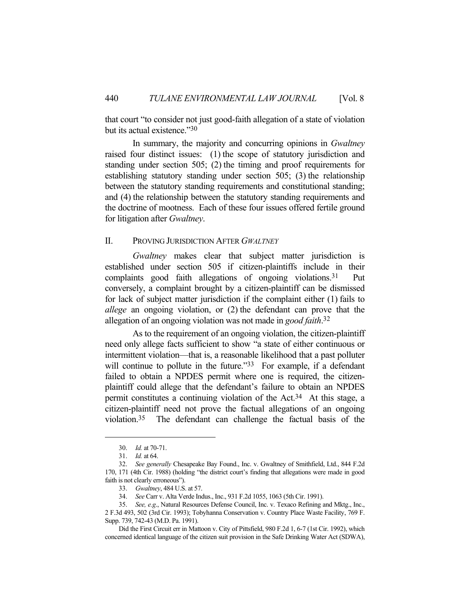that court "to consider not just good-faith allegation of a state of violation but its actual existence."30

 In summary, the majority and concurring opinions in *Gwaltney* raised four distinct issues: (1) the scope of statutory jurisdiction and standing under section 505; (2) the timing and proof requirements for establishing statutory standing under section 505; (3) the relationship between the statutory standing requirements and constitutional standing; and (4) the relationship between the statutory standing requirements and the doctrine of mootness. Each of these four issues offered fertile ground for litigation after *Gwaltney*.

## II. PROVING JURISDICTION AFTER *GWALTNEY*

*Gwaltney* makes clear that subject matter jurisdiction is established under section 505 if citizen-plaintiffs include in their complaints good faith allegations of ongoing violations.31 Put conversely, a complaint brought by a citizen-plaintiff can be dismissed for lack of subject matter jurisdiction if the complaint either (1) fails to *allege* an ongoing violation, or (2) the defendant can prove that the allegation of an ongoing violation was not made in *good faith*. 32

 As to the requirement of an ongoing violation, the citizen-plaintiff need only allege facts sufficient to show "a state of either continuous or intermittent violation—that is, a reasonable likelihood that a past polluter will continue to pollute in the future."<sup>33</sup> For example, if a defendant failed to obtain a NPDES permit where one is required, the citizenplaintiff could allege that the defendant's failure to obtain an NPDES permit constitutes a continuing violation of the Act.34 At this stage, a citizen-plaintiff need not prove the factual allegations of an ongoing violation.35 The defendant can challenge the factual basis of the

 <sup>30.</sup> *Id.* at 70-71.

 <sup>31.</sup> *Id.* at 64.

 <sup>32.</sup> *See generally* Chesapeake Bay Found., Inc. v. Gwaltney of Smithfield, Ltd., 844 F.2d 170, 171 (4th Cir. 1988) (holding "the district court's finding that allegations were made in good faith is not clearly erroneous").

 <sup>33.</sup> *Gwaltney*, 484 U.S. at 57.

 <sup>34.</sup> *See* Carr v. Alta Verde Indus., Inc., 931 F.2d 1055, 1063 (5th Cir. 1991).

 <sup>35.</sup> *See, e.g*., Natural Resources Defense Council, Inc. v. Texaco Refining and Mktg., Inc., 2 F.3d 493, 502 (3rd Cir. 1993); Tobyhanna Conservation v. Country Place Waste Facility, 769 F. Supp. 739, 742-43 (M.D. Pa. 1991).

Did the First Circuit err in Mattoon v. City of Pittsfield, 980 F.2d 1, 6-7 (1st Cir. 1992), which concerned identical language of the citizen suit provision in the Safe Drinking Water Act (SDWA),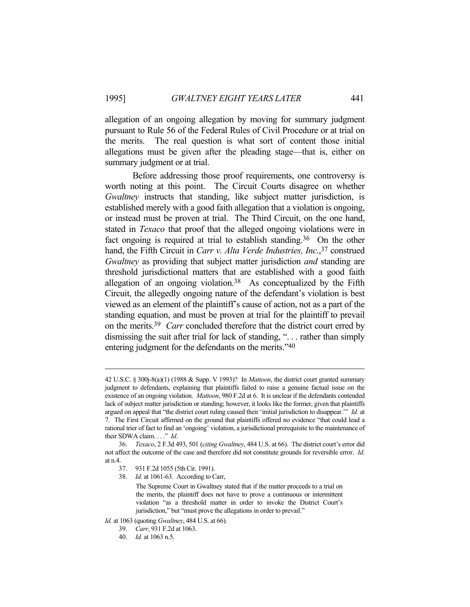allegation of an ongoing allegation by moving for summary judgment pursuant to Rule 56 of the Federal Rules of Civil Procedure or at trial on the merits. The real question is what sort of content those initial allegations must be given after the pleading stage—that is, either on summary judgment or at trial.

 Before addressing those proof requirements, one controversy is worth noting at this point. The Circuit Courts disagree on whether *Gwaltney* instructs that standing, like subject matter jurisdiction, is established merely with a good faith allegation that a violation is ongoing, or instead must be proven at trial. The Third Circuit, on the one hand, stated in *Texaco* that proof that the alleged ongoing violations were in fact ongoing is required at trial to establish standing.<sup>36</sup> On the other hand, the Fifth Circuit in *Carr v. Alta Verde Industries, Inc.*,<sup>37</sup> construed *Gwaltney* as providing that subject matter jurisdiction *and* standing are threshold jurisdictional matters that are established with a good faith allegation of an ongoing violation.38 As conceptualized by the Fifth Circuit, the allegedly ongoing nature of the defendant's violation is best viewed as an element of the plaintiff's cause of action, not as a part of the standing equation, and must be proven at trial for the plaintiff to prevail on the merits.39 *Carr* concluded therefore that the district court erred by dismissing the suit after trial for lack of standing, ". . . rather than simply entering judgment for the defendants on the merits."40

<sup>42</sup> U.S.C. § 300j-8(a)(1) (1988 & Supp. V 1993)? In *Mattoon*, the district court granted summary judgment to defendants, explaining that plaintiffs failed to raise a genuine factual issue on the existence of an ongoing violation. *Mattoon*, 980 F.2d at 6. It is unclear if the defendants contended lack of subject matter jurisdiction or standing; however, it looks like the former, given that plaintiffs argued on appeal that "the district court ruling caused their 'initial jurisdiction to disappear.'" *Id.* at 7. The First Circuit affirmed on the ground that plaintiffs offered no evidence "that could lead a rational trier of fact to find an 'ongoing' violation, a jurisdictional prerequisite to the maintenance of their SDWA claim. . . ." *Id*.

 <sup>36.</sup> *Texaco*, 2 F.3d 493, 501 (*citing Gwaltney*, 484 U.S. at 66). The district court's error did not affect the outcome of the case and therefore did not constitute grounds for reversible error. *Id*. at n.4.

 <sup>37. 931</sup> F.2d 1055 (5th Cir. 1991).

 <sup>38.</sup> *Id.* at 1061-63. According to Carr,

The Supreme Court in Gwaltney stated that if the matter proceeds to a trial on the merits, the plaintiff does not have to prove a continuous or intermittent violation "as a threshold matter in order to invoke the District Court's jurisdiction," but "must prove the allegations in order to prevail."

*Id.* at 1063 (quoting *Gwaltney*, 484 U.S. at 66).

 <sup>39.</sup> *Carr*, 931 F.2d at 1063.

 <sup>40.</sup> *Id.* at 1063 n.5.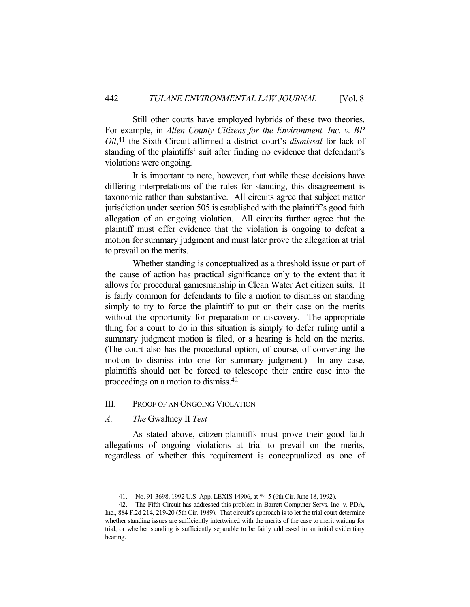Still other courts have employed hybrids of these two theories. For example, in *Allen County Citizens for the Environment, Inc. v. BP Oil*, 41 the Sixth Circuit affirmed a district court's *dismissal* for lack of standing of the plaintiffs' suit after finding no evidence that defendant's violations were ongoing.

 It is important to note, however, that while these decisions have differing interpretations of the rules for standing, this disagreement is taxonomic rather than substantive. All circuits agree that subject matter jurisdiction under section 505 is established with the plaintiff's good faith allegation of an ongoing violation. All circuits further agree that the plaintiff must offer evidence that the violation is ongoing to defeat a motion for summary judgment and must later prove the allegation at trial to prevail on the merits.

 Whether standing is conceptualized as a threshold issue or part of the cause of action has practical significance only to the extent that it allows for procedural gamesmanship in Clean Water Act citizen suits. It is fairly common for defendants to file a motion to dismiss on standing simply to try to force the plaintiff to put on their case on the merits without the opportunity for preparation or discovery. The appropriate thing for a court to do in this situation is simply to defer ruling until a summary judgment motion is filed, or a hearing is held on the merits. (The court also has the procedural option, of course, of converting the motion to dismiss into one for summary judgment.) In any case, plaintiffs should not be forced to telescope their entire case into the proceedings on a motion to dismiss.42

## III. PROOF OF AN ONGOING VIOLATION

## *A. The* Gwaltney II *Test*

 As stated above, citizen-plaintiffs must prove their good faith allegations of ongoing violations at trial to prevail on the merits, regardless of whether this requirement is conceptualized as one of

 <sup>41.</sup> No. 91-3698, 1992 U.S. App. LEXIS 14906, at \*4-5 (6th Cir. June 18, 1992).

 <sup>42.</sup> The Fifth Circuit has addressed this problem in Barrett Computer Servs. Inc. v. PDA, Inc., 884 F.2d 214, 219-20 (5th Cir. 1989). That circuit's approach is to let the trial court determine whether standing issues are sufficiently intertwined with the merits of the case to merit waiting for trial, or whether standing is sufficiently separable to be fairly addressed in an initial evidentiary hearing.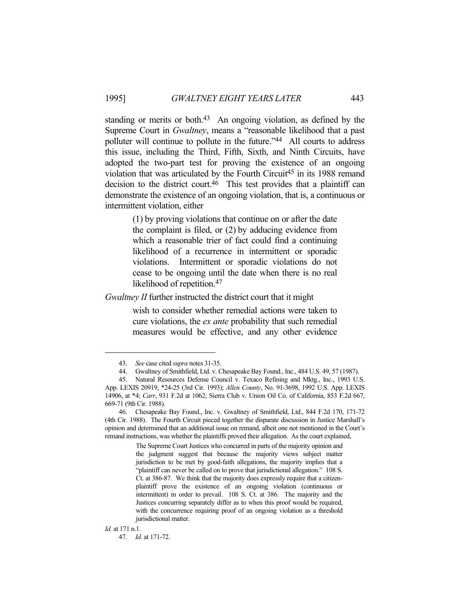standing or merits or both.<sup>43</sup> An ongoing violation, as defined by the Supreme Court in *Gwaltney*, means a "reasonable likelihood that a past polluter will continue to pollute in the future."44 All courts to address this issue, including the Third, Fifth, Sixth, and Ninth Circuits, have adopted the two-part test for proving the existence of an ongoing violation that was articulated by the Fourth Circuit<sup>45</sup> in its 1988 remand decision to the district court.46 This test provides that a plaintiff can demonstrate the existence of an ongoing violation, that is, a continuous or intermittent violation, either

> (1) by proving violations that continue on or after the date the complaint is filed, or (2) by adducing evidence from which a reasonable trier of fact could find a continuing likelihood of a recurrence in intermittent or sporadic violations. Intermittent or sporadic violations do not cease to be ongoing until the date when there is no real likelihood of repetition.47

*Gwaltney II* further instructed the district court that it might

wish to consider whether remedial actions were taken to cure violations, the *ex ante* probability that such remedial measures would be effective, and any other evidence

 <sup>43.</sup> *See* case cited *supra* notes 31-35.

 <sup>44.</sup> Gwaltney of Smithfield, Ltd. v. Chesapeake Bay Found., Inc., 484 U.S. 49, 57 (1987).

 <sup>45.</sup> Natural Resources Defense Council v. Texaco Refining and Mktg., Inc., 1993 U.S. App. LEXIS 20919, \*24-25 (3rd Cir. 1993); *Allen County*, No. 91-3698, 1992 U.S. App. LEXIS 14906, at \*4; *Carr*, 931 F.2d at 1062; Sierra Club v. Union Oil Co. of California, 853 F.2d 667, 669-71 (9th Cir. 1988).

 <sup>46.</sup> Chesapeake Bay Found., Inc. v. Gwaltney of Smithfield, Ltd., 844 F.2d 170, 171-72 (4th Cir. 1988). The Fourth Circuit pieced together the disparate discussion in Justice Marshall's opinion and determined that an additional issue on remand, albeit one not mentioned in the Court's remand instructions, was whether the plaintiffs proved their allegation. As the court explained,

The Supreme Court Justices who concurred in parts of the majority opinion and the judgment suggest that because the majority views subject matter jurisdiction to be met by good-faith allegations, the majority implies that a "plaintiff can never be called on to prove that jurisdictional allegation." 108 S. Ct. at 386-87. We think that the majority does expressly require that a citizenplaintiff prove the existence of an ongoing violation (continuous or intermittent) in order to prevail. 108 S. Ct. at 386. The majority and the Justices concurring separately differ as to when this proof would be required, with the concurrence requiring proof of an ongoing violation as a threshold jurisdictional matter.

*Id.* at 171 n.1.

 <sup>47.</sup> *Id.* at 171-72.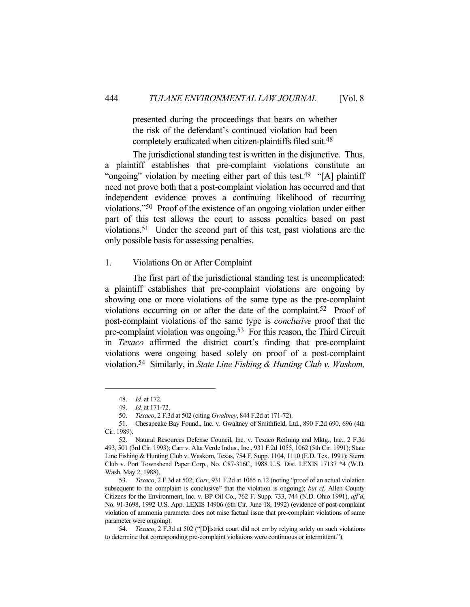presented during the proceedings that bears on whether the risk of the defendant's continued violation had been completely eradicated when citizen-plaintiffs filed suit.48

 The jurisdictional standing test is written in the disjunctive. Thus, a plaintiff establishes that pre-complaint violations constitute an "ongoing" violation by meeting either part of this test.<sup>49</sup> "[A] plaintiff need not prove both that a post-complaint violation has occurred and that independent evidence proves a continuing likelihood of recurring violations."50 Proof of the existence of an ongoing violation under either part of this test allows the court to assess penalties based on past violations.51 Under the second part of this test, past violations are the only possible basis for assessing penalties.

## 1. Violations On or After Complaint

 The first part of the jurisdictional standing test is uncomplicated: a plaintiff establishes that pre-complaint violations are ongoing by showing one or more violations of the same type as the pre-complaint violations occurring on or after the date of the complaint.<sup>52</sup> Proof of post-complaint violations of the same type is *conclusive* proof that the pre-complaint violation was ongoing.<sup>53</sup> For this reason, the Third Circuit in *Texaco* affirmed the district court's finding that pre-complaint violations were ongoing based solely on proof of a post-complaint violation.54 Similarly, in *State Line Fishing & Hunting Club v. Waskom,* 

 <sup>48.</sup> *Id.* at 172.

 <sup>49.</sup> *Id.* at 171-72.

 <sup>50.</sup> *Texaco*, 2 F.3d at 502 (citing *Gwaltney*, 844 F.2d at 171-72).

 <sup>51.</sup> Chesapeake Bay Found., Inc. v. Gwaltney of Smithfield, Ltd., 890 F.2d 690, 696 (4th Cir. 1989).

 <sup>52.</sup> Natural Resources Defense Council, Inc. v. Texaco Refining and Mktg., Inc., 2 F.3d 493, 501 (3rd Cir. 1993); Carr v. Alta Verde Indus., Inc., 931 F.2d 1055, 1062 (5th Cir. 1991); State Line Fishing & Hunting Club v. Waskom, Texas, 754 F. Supp. 1104, 1110 (E.D. Tex. 1991); Sierra Club v. Port Townshend Paper Corp., No. C87-316C, 1988 U.S. Dist. LEXIS 17137 \*4 (W.D. Wash. May 2, 1988).

 <sup>53.</sup> *Texaco*, 2 F.3d at 502; *Carr*, 931 F.2d at 1065 n.12 (noting "proof of an actual violation subsequent to the complaint is conclusive" that the violation is ongoing); *but cf.* Allen County Citizens for the Environment, Inc. v. BP Oil Co., 762 F. Supp. 733, 744 (N.D. Ohio 1991), *aff'd*, No. 91-3698, 1992 U.S. App. LEXIS 14906 (6th Cir. June 18, 1992) (evidence of post-complaint violation of ammonia parameter does not raise factual issue that pre-complaint violations of same parameter were ongoing).

 <sup>54.</sup> *Texaco*, 2 F.3d at 502 ("[D]istrict court did not err by relying solely on such violations to determine that corresponding pre-complaint violations were continuous or intermittent.").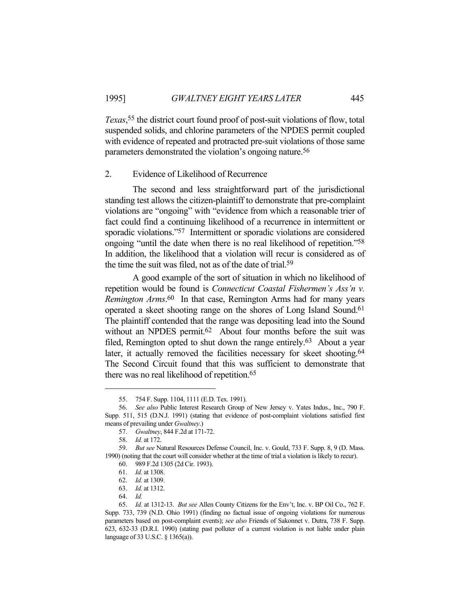*Texas*, 55 the district court found proof of post-suit violations of flow, total suspended solids, and chlorine parameters of the NPDES permit coupled with evidence of repeated and protracted pre-suit violations of those same parameters demonstrated the violation's ongoing nature.56

#### 2. Evidence of Likelihood of Recurrence

 The second and less straightforward part of the jurisdictional standing test allows the citizen-plaintiff to demonstrate that pre-complaint violations are "ongoing" with "evidence from which a reasonable trier of fact could find a continuing likelihood of a recurrence in intermittent or sporadic violations."<sup>57</sup> Intermittent or sporadic violations are considered ongoing "until the date when there is no real likelihood of repetition."58 In addition, the likelihood that a violation will recur is considered as of the time the suit was filed, not as of the date of trial.59

 A good example of the sort of situation in which no likelihood of repetition would be found is *Connecticut Coastal Fishermen's Ass'n v. Remington Arms*. 60 In that case, Remington Arms had for many years operated a skeet shooting range on the shores of Long Island Sound.61 The plaintiff contended that the range was depositing lead into the Sound without an NPDES permit.<sup>62</sup> About four months before the suit was filed, Remington opted to shut down the range entirely.63 About a year later, it actually removed the facilities necessary for skeet shooting.<sup>64</sup> The Second Circuit found that this was sufficient to demonstrate that there was no real likelihood of repetition.65

 <sup>55. 754</sup> F. Supp. 1104, 1111 (E.D. Tex. 1991).

 <sup>56.</sup> *See also* Public Interest Research Group of New Jersey v. Yates Indus., Inc., 790 F. Supp. 511, 515 (D.N.J. 1991) (stating that evidence of post-complaint violations satisfied first means of prevailing under *Gwaltney*.)

 <sup>57.</sup> *Gwaltney*, 844 F.2d at 171-72.

 <sup>58.</sup> *Id.* at 172.

 <sup>59.</sup> *But see* Natural Resources Defense Council, Inc. v. Gould, 733 F. Supp. 8, 9 (D. Mass. 1990) (noting that the court will consider whether at the time of trial a violation is likely to recur). 60. 989 F.2d 1305 (2d Cir. 1993).

 <sup>61.</sup> *Id.* at 1308.

 <sup>62.</sup> *Id.* at 1309.

 <sup>63.</sup> *Id.* at 1312.

 <sup>64.</sup> *Id.*

 <sup>65.</sup> *Id.* at 1312-13. *But see* Allen County Citizens for the Env't, Inc. v. BP Oil Co., 762 F. Supp. 733, 739 (N.D. Ohio 1991) (finding no factual issue of ongoing violations for numerous parameters based on post-complaint events); *see also* Friends of Sakonnet v. Dutra, 738 F. Supp. 623, 632-33 (D.R.I. 1990) (stating past polluter of a current violation is not liable under plain language of 33 U.S.C. § 1365(a)).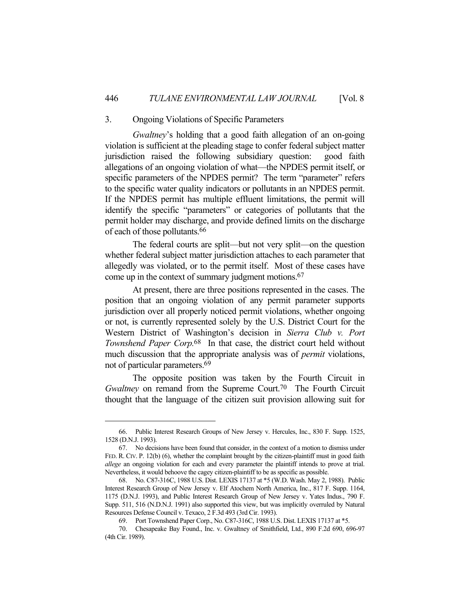## 3. Ongoing Violations of Specific Parameters

*Gwaltney*'s holding that a good faith allegation of an on-going violation is sufficient at the pleading stage to confer federal subject matter jurisdiction raised the following subsidiary question: good faith allegations of an ongoing violation of what—the NPDES permit itself, or specific parameters of the NPDES permit? The term "parameter" refers to the specific water quality indicators or pollutants in an NPDES permit. If the NPDES permit has multiple effluent limitations, the permit will identify the specific "parameters" or categories of pollutants that the permit holder may discharge, and provide defined limits on the discharge of each of those pollutants.66

 The federal courts are split—but not very split—on the question whether federal subject matter jurisdiction attaches to each parameter that allegedly was violated, or to the permit itself. Most of these cases have come up in the context of summary judgment motions.67

 At present, there are three positions represented in the cases. The position that an ongoing violation of any permit parameter supports jurisdiction over all properly noticed permit violations, whether ongoing or not, is currently represented solely by the U.S. District Court for the Western District of Washington's decision in *Sierra Club v. Port Townshend Paper Corp.*68 In that case, the district court held without much discussion that the appropriate analysis was of *permit* violations, not of particular parameters.69

 The opposite position was taken by the Fourth Circuit in *Gwaltney* on remand from the Supreme Court.<sup>70</sup> The Fourth Circuit thought that the language of the citizen suit provision allowing suit for

 <sup>66.</sup> Public Interest Research Groups of New Jersey v. Hercules, Inc., 830 F. Supp. 1525, 1528 (D.N.J. 1993).

 <sup>67.</sup> No decisions have been found that consider, in the context of a motion to dismiss under FED. R. CIV. P. 12(b) (6), whether the complaint brought by the citizen-plaintiff must in good faith *allege* an ongoing violation for each and every parameter the plaintiff intends to prove at trial. Nevertheless, it would behoove the cagey citizen-plaintiff to be as specific as possible.

 <sup>68.</sup> No. C87-316C, 1988 U.S. Dist. LEXIS 17137 at \*5 (W.D. Wash. May 2, 1988). Public Interest Research Group of New Jersey v. Elf Atochem North America, Inc., 817 F. Supp. 1164, 1175 (D.N.J. 1993), and Public Interest Research Group of New Jersey v. Yates Indus., 790 F. Supp. 511, 516 (N.D.N.J. 1991) also supported this view, but was implicitly overruled by Natural Resources Defense Council v. Texaco, 2 F.3d 493 (3rd Cir. 1993).

 <sup>69.</sup> Port Townshend Paper Corp., No. C87-316C, 1988 U.S. Dist. LEXIS 17137 at \*5.

 <sup>70.</sup> Chesapeake Bay Found., Inc. v. Gwaltney of Smithfield, Ltd., 890 F.2d 690, 696-97 (4th Cir. 1989).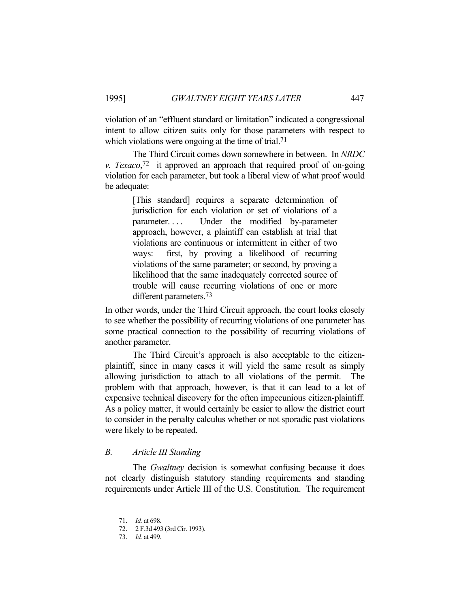violation of an "effluent standard or limitation" indicated a congressional intent to allow citizen suits only for those parameters with respect to which violations were ongoing at the time of trial.<sup>71</sup>

 The Third Circuit comes down somewhere in between. In *NRDC v. Texaco*, 72 it approved an approach that required proof of on-going violation for each parameter, but took a liberal view of what proof would be adequate:

> [This standard] requires a separate determination of jurisdiction for each violation or set of violations of a parameter.... Under the modified by-parameter approach, however, a plaintiff can establish at trial that violations are continuous or intermittent in either of two ways: first, by proving a likelihood of recurring violations of the same parameter; or second, by proving a likelihood that the same inadequately corrected source of trouble will cause recurring violations of one or more different parameters.73

In other words, under the Third Circuit approach, the court looks closely to see whether the possibility of recurring violations of one parameter has some practical connection to the possibility of recurring violations of another parameter.

 The Third Circuit's approach is also acceptable to the citizenplaintiff, since in many cases it will yield the same result as simply allowing jurisdiction to attach to all violations of the permit. The problem with that approach, however, is that it can lead to a lot of expensive technical discovery for the often impecunious citizen-plaintiff. As a policy matter, it would certainly be easier to allow the district court to consider in the penalty calculus whether or not sporadic past violations were likely to be repeated.

## *B. Article III Standing*

 The *Gwaltney* decision is somewhat confusing because it does not clearly distinguish statutory standing requirements and standing requirements under Article III of the U.S. Constitution. The requirement

 <sup>71.</sup> *Id.* at 698.

 <sup>72. 2</sup> F.3d 493 (3rd Cir. 1993).

 <sup>73.</sup> *Id.* at 499.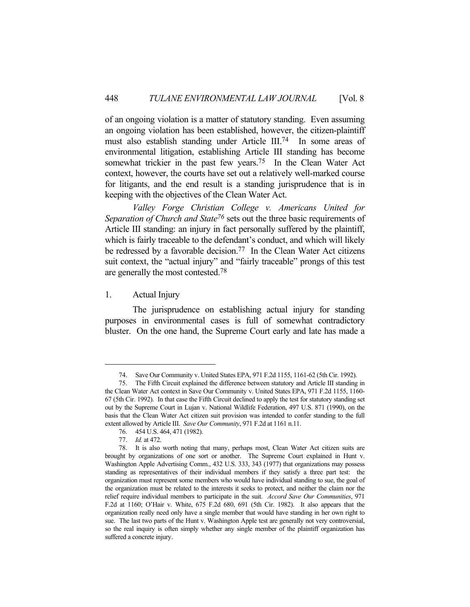of an ongoing violation is a matter of statutory standing. Even assuming an ongoing violation has been established, however, the citizen-plaintiff must also establish standing under Article III.74 In some areas of environmental litigation, establishing Article III standing has become somewhat trickier in the past few years.<sup>75</sup> In the Clean Water Act context, however, the courts have set out a relatively well-marked course for litigants, and the end result is a standing jurisprudence that is in keeping with the objectives of the Clean Water Act.

*Valley Forge Christian College v. Americans United for Separation of Church and State76* sets out the three basic requirements of Article III standing: an injury in fact personally suffered by the plaintiff, which is fairly traceable to the defendant's conduct, and which will likely be redressed by a favorable decision.<sup>77</sup> In the Clean Water Act citizens suit context, the "actual injury" and "fairly traceable" prongs of this test are generally the most contested.78

## 1. Actual Injury

 The jurisprudence on establishing actual injury for standing purposes in environmental cases is full of somewhat contradictory bluster. On the one hand, the Supreme Court early and late has made a

 <sup>74.</sup> Save Our Community v. United States EPA, 971 F.2d 1155, 1161-62 (5th Cir. 1992).

 <sup>75.</sup> The Fifth Circuit explained the difference between statutory and Article III standing in the Clean Water Act context in Save Our Community v. United States EPA, 971 F.2d 1155, 1160- 67 (5th Cir. 1992). In that case the Fifth Circuit declined to apply the test for statutory standing set out by the Supreme Court in Lujan v. National Wildlife Federation, 497 U.S. 871 (1990), on the basis that the Clean Water Act citizen suit provision was intended to confer standing to the full extent allowed by Article III. *Save Our Community*, 971 F.2d at 1161 n.11.

 <sup>76. 454</sup> U.S. 464, 471 (1982).

 <sup>77.</sup> *Id.* at 472.

 <sup>78.</sup> It is also worth noting that many, perhaps most, Clean Water Act citizen suits are brought by organizations of one sort or another. The Supreme Court explained in Hunt v. Washington Apple Advertising Comm., 432 U.S. 333, 343 (1977) that organizations may possess standing as representatives of their individual members if they satisfy a three part test: the organization must represent some members who would have individual standing to sue, the goal of the organization must be related to the interests it seeks to protect, and neither the claim nor the relief require individual members to participate in the suit. *Accord Save Our Communities*, 971 F.2d at 1160; O'Hair v. White, 675 F.2d 680, 691 (5th Cir. 1982). It also appears that the organization really need only have a single member that would have standing in her own right to sue. The last two parts of the Hunt v. Washington Apple test are generally not very controversial, so the real inquiry is often simply whether any single member of the plaintiff organization has suffered a concrete injury.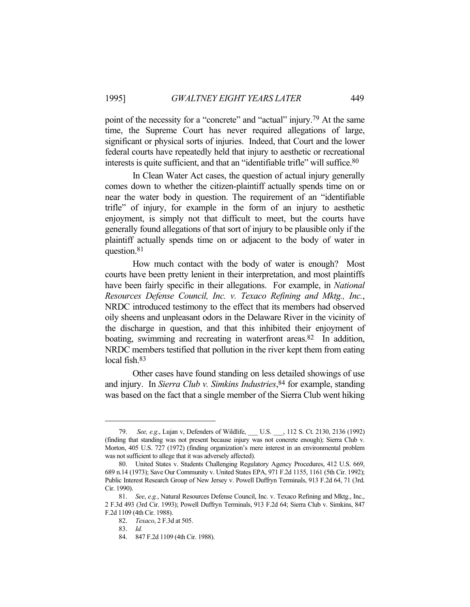point of the necessity for a "concrete" and "actual" injury.<sup>79</sup> At the same time, the Supreme Court has never required allegations of large, significant or physical sorts of injuries. Indeed, that Court and the lower federal courts have repeatedly held that injury to aesthetic or recreational interests is quite sufficient, and that an "identifiable trifle" will suffice.80

 In Clean Water Act cases, the question of actual injury generally comes down to whether the citizen-plaintiff actually spends time on or near the water body in question. The requirement of an "identifiable trifle" of injury, for example in the form of an injury to aesthetic enjoyment, is simply not that difficult to meet, but the courts have generally found allegations of that sort of injury to be plausible only if the plaintiff actually spends time on or adjacent to the body of water in question.81

 How much contact with the body of water is enough? Most courts have been pretty lenient in their interpretation, and most plaintiffs have been fairly specific in their allegations. For example, in *National Resources Defense Council, Inc. v. Texaco Refining and Mktg., Inc.*, NRDC introduced testimony to the effect that its members had observed oily sheens and unpleasant odors in the Delaware River in the vicinity of the discharge in question, and that this inhibited their enjoyment of boating, swimming and recreating in waterfront areas. $82$  In addition, NRDC members testified that pollution in the river kept them from eating local fish.83

 Other cases have found standing on less detailed showings of use and injury. In *Sierra Club v. Simkins Industries*, 84 for example, standing was based on the fact that a single member of the Sierra Club went hiking

<sup>79.</sup> *See, e.g.*, Lujan v, Defenders of Wildlife, U.S. , 112 S. Ct. 2130, 2136 (1992) (finding that standing was not present because injury was not concrete enough); Sierra Club v. Morton, 405 U.S. 727 (1972) (finding organization's mere interest in an environmental problem was not sufficient to allege that it was adversely affected).

 <sup>80.</sup> United States v. Students Challenging Regulatory Agency Procedures, 412 U.S. 669, 689 n.14 (1973); Save Our Community v. United States EPA, 971 F.2d 1155, 1161 (5th Cir. 1992); Public Interest Research Group of New Jersey v. Powell Duffryn Terminals, 913 F.2d 64, 71 (3rd. Cir. 1990).

 <sup>81.</sup> *See*, *e.g.*, Natural Resources Defense Council, Inc. v. Texaco Refining and Mktg., Inc., 2 F.3d 493 (3rd Cir. 1993); Powell Duffryn Terminals, 913 F.2d 64; Sierra Club v. Simkins, 847 F.2d 1109 (4th Cir. 1988).

 <sup>82.</sup> *Texaco*, 2 F.3d at 505.

 <sup>83.</sup> *Id.*

 <sup>84. 847</sup> F.2d 1109 (4th Cir. 1988).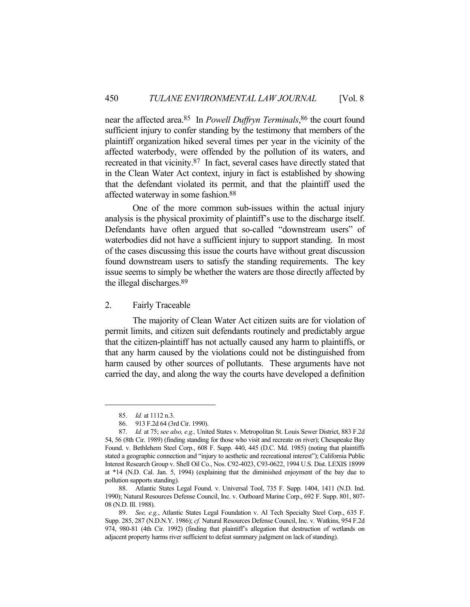near the affected area.85 In *Powell Duffryn Terminals*, 86 the court found sufficient injury to confer standing by the testimony that members of the plaintiff organization hiked several times per year in the vicinity of the affected waterbody, were offended by the pollution of its waters, and recreated in that vicinity.87 In fact, several cases have directly stated that in the Clean Water Act context, injury in fact is established by showing that the defendant violated its permit, and that the plaintiff used the affected waterway in some fashion.88

 One of the more common sub-issues within the actual injury analysis is the physical proximity of plaintiff's use to the discharge itself. Defendants have often argued that so-called "downstream users" of waterbodies did not have a sufficient injury to support standing. In most of the cases discussing this issue the courts have without great discussion found downstream users to satisfy the standing requirements. The key issue seems to simply be whether the waters are those directly affected by the illegal discharges.89

#### 2. Fairly Traceable

 The majority of Clean Water Act citizen suits are for violation of permit limits, and citizen suit defendants routinely and predictably argue that the citizen-plaintiff has not actually caused any harm to plaintiffs, or that any harm caused by the violations could not be distinguished from harm caused by other sources of pollutants. These arguments have not carried the day, and along the way the courts have developed a definition

 <sup>85.</sup> *Id.* at 1112 n.3.

 <sup>86. 913</sup> F.2d 64 (3rd Cir. 1990).

 <sup>87.</sup> *Id.* at 75; *see also, e.g.,* United States v. Metropolitan St. Louis Sewer District, 883 F.2d 54, 56 (8th Cir. 1989) (finding standing for those who visit and recreate on river); Chesapeake Bay Found. v. Bethlehem Steel Corp., 608 F. Supp. 440, 445 (D.C. Md. 1985) (noting that plaintiffs stated a geographic connection and "injury to aesthetic and recreational interest"); California Public Interest Research Group v. Shell Oil Co., Nos. C92-4023, C93-0622, 1994 U.S. Dist. LEXIS 18999 at \*14 (N.D. Cal. Jan. 5, 1994) (explaining that the diminished enjoyment of the bay due to pollution supports standing).

 <sup>88.</sup> Atlantic States Legal Found. v. Universal Tool, 735 F. Supp. 1404, 1411 (N.D. Ind. 1990); Natural Resources Defense Council, Inc. v. Outboard Marine Corp., 692 F. Supp. 801, 807- 08 (N.D. Ill. 1988).

 <sup>89.</sup> *See, e.g.*, Atlantic States Legal Foundation v. Al Tech Specialty Steel Corp., 635 F. Supp. 285, 287 (N.D.N.Y. 1986); *cf.* Natural Resources Defense Council, Inc. v. Watkins, 954 F.2d 974, 980-81 (4th Cir. 1992) (finding that plaintiff's allegation that destruction of wetlands on adjacent property harms river sufficient to defeat summary judgment on lack of standing).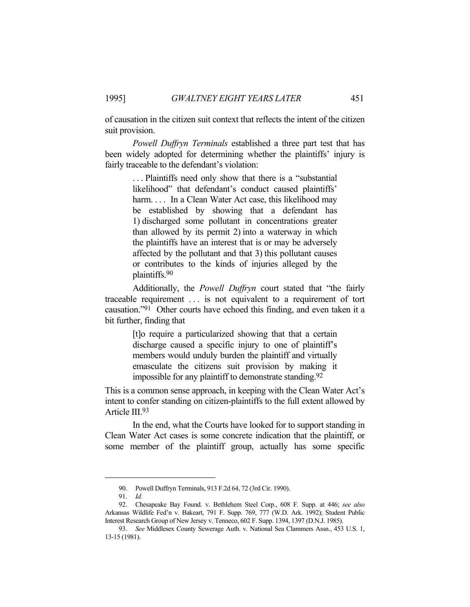of causation in the citizen suit context that reflects the intent of the citizen suit provision.

*Powell Duffryn Terminals* established a three part test that has been widely adopted for determining whether the plaintiffs' injury is fairly traceable to the defendant's violation:

> . . . Plaintiffs need only show that there is a "substantial likelihood" that defendant's conduct caused plaintiffs' harm. . . . In a Clean Water Act case, this likelihood may be established by showing that a defendant has 1) discharged some pollutant in concentrations greater than allowed by its permit 2) into a waterway in which the plaintiffs have an interest that is or may be adversely affected by the pollutant and that 3) this pollutant causes or contributes to the kinds of injuries alleged by the plaintiffs.90

 Additionally, the *Powell Duffryn* court stated that "the fairly traceable requirement . . . is not equivalent to a requirement of tort causation." $91$  Other courts have echoed this finding, and even taken it a bit further, finding that

> [t]o require a particularized showing that that a certain discharge caused a specific injury to one of plaintiff's members would unduly burden the plaintiff and virtually emasculate the citizens suit provision by making it impossible for any plaintiff to demonstrate standing.92

This is a common sense approach, in keeping with the Clean Water Act's intent to confer standing on citizen-plaintiffs to the full extent allowed by Article III.93

 In the end, what the Courts have looked for to support standing in Clean Water Act cases is some concrete indication that the plaintiff, or some member of the plaintiff group, actually has some specific

 <sup>90.</sup> Powell Duffryn Terminals, 913 F.2d 64, 72 (3rd Cir. 1990).

 <sup>91.</sup> *Id.*

 <sup>92.</sup> Chesapeake Bay Found. v. Bethlehem Steel Corp., 608 F. Supp. at 446; *see also* Arkansas Wildlife Fed'n v. Bakeart, 791 F. Supp. 769, 777 (W.D. Ark. 1992); Student Public Interest Research Group of New Jersey v. Tenneco, 602 F. Supp. 1394, 1397 (D.N.J. 1985).

 <sup>93.</sup> *See* Middlesex County Sewerage Auth. v. National Sea Clammers Assn., 453 U.S. 1, 13-15 (1981).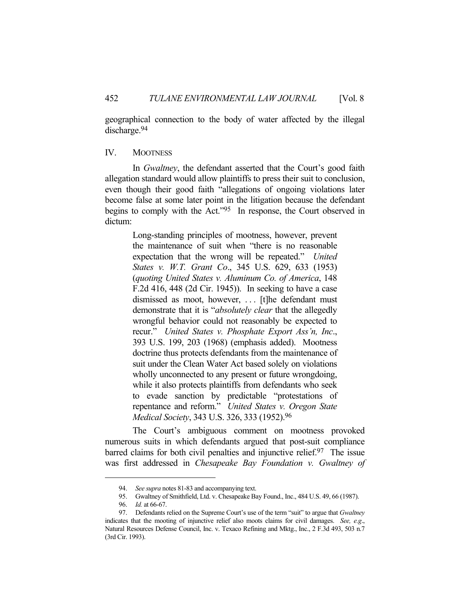geographical connection to the body of water affected by the illegal discharge.94

#### IV. MOOTNESS

 In *Gwaltney*, the defendant asserted that the Court's good faith allegation standard would allow plaintiffs to press their suit to conclusion, even though their good faith "allegations of ongoing violations later become false at some later point in the litigation because the defendant begins to comply with the Act."95 In response, the Court observed in dictum:

> Long-standing principles of mootness, however, prevent the maintenance of suit when "there is no reasonable expectation that the wrong will be repeated." *United States v. W.T. Grant Co*., 345 U.S. 629, 633 (1953) (*quoting United States v. Aluminum Co. of America*, 148 F.2d 416, 448 (2d Cir. 1945)). In seeking to have a case dismissed as moot, however, . . . [t]he defendant must demonstrate that it is "*absolutely clear* that the allegedly wrongful behavior could not reasonably be expected to recur." *United States v. Phosphate Export Ass'n, Inc*., 393 U.S. 199, 203 (1968) (emphasis added). Mootness doctrine thus protects defendants from the maintenance of suit under the Clean Water Act based solely on violations wholly unconnected to any present or future wrongdoing, while it also protects plaintiffs from defendants who seek to evade sanction by predictable "protestations of repentance and reform." *United States v. Oregon State Medical Society*, 343 U.S. 326, 333 (1952).96

 The Court's ambiguous comment on mootness provoked numerous suits in which defendants argued that post-suit compliance barred claims for both civil penalties and injunctive relief.<sup>97</sup> The issue was first addressed in *Chesapeake Bay Foundation v. Gwaltney of* 

 <sup>94.</sup> *See supra* notes 81-83 and accompanying text.

 <sup>95.</sup> Gwaltney of Smithfield, Ltd. v. Chesapeake Bay Found., Inc., 484 U.S. 49, 66 (1987).

 <sup>96.</sup> *Id.* at 66-67.

 <sup>97.</sup> Defendants relied on the Supreme Court's use of the term "suit" to argue that *Gwaltney* indicates that the mooting of injunctive relief also moots claims for civil damages. *See, e.g*., Natural Resources Defense Council, Inc. v. Texaco Refining and Mktg., Inc., 2 F.3d 493, 503 n.7 (3rd Cir. 1993).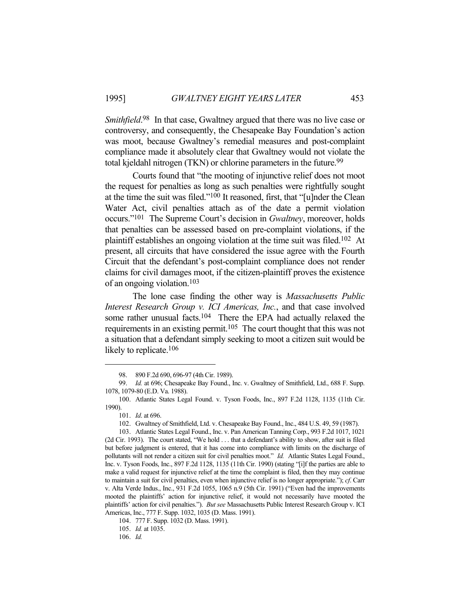Smithfield.<sup>98</sup> In that case, Gwaltney argued that there was no live case or controversy, and consequently, the Chesapeake Bay Foundation's action was moot, because Gwaltney's remedial measures and post-complaint compliance made it absolutely clear that Gwaltney would not violate the total kjeldahl nitrogen (TKN) or chlorine parameters in the future.<sup>99</sup>

 Courts found that "the mooting of injunctive relief does not moot the request for penalties as long as such penalties were rightfully sought at the time the suit was filed."100 It reasoned, first, that "[u]nder the Clean Water Act, civil penalties attach as of the date a permit violation occurs."101 The Supreme Court's decision in *Gwaltney*, moreover, holds that penalties can be assessed based on pre-complaint violations, if the plaintiff establishes an ongoing violation at the time suit was filed.102 At present, all circuits that have considered the issue agree with the Fourth Circuit that the defendant's post-complaint compliance does not render claims for civil damages moot, if the citizen-plaintiff proves the existence of an ongoing violation.103

 The lone case finding the other way is *Massachusetts Public Interest Research Group v. ICI Americas, Inc.*, and that case involved some rather unusual facts.<sup>104</sup> There the EPA had actually relaxed the requirements in an existing permit.<sup>105</sup> The court thought that this was not a situation that a defendant simply seeking to moot a citizen suit would be likely to replicate.<sup>106</sup>

 <sup>98. 890</sup> F.2d 690, 696-97 (4th Cir. 1989).

 <sup>99.</sup> *Id.* at 696; Chesapeake Bay Found., Inc. v. Gwaltney of Smithfield, Ltd., 688 F. Supp. 1078, 1079-80 (E.D. Va. 1988).

 <sup>100.</sup> Atlantic States Legal Found. v. Tyson Foods, Inc., 897 F.2d 1128, 1135 (11th Cir. 1990).

 <sup>101.</sup> *Id*. at 696.

 <sup>102.</sup> Gwaltney of Smithfield, Ltd. v. Chesapeake Bay Found., Inc., 484 U.S. 49, 59 (1987).

 <sup>103.</sup> Atlantic States Legal Found., Inc. v. Pan American Tanning Corp., 993 F.2d 1017, 1021 (2d Cir. 1993). The court stated, "We hold . . . that a defendant's ability to show, after suit is filed but before judgment is entered, that it has come into compliance with limits on the discharge of pollutants will not render a citizen suit for civil penalties moot." *Id.* Atlantic States Legal Found., Inc. v. Tyson Foods, Inc., 897 F.2d 1128, 1135 (11th Cir. 1990) (stating "[i]f the parties are able to make a valid request for injunctive relief at the time the complaint is filed, then they may continue to maintain a suit for civil penalties, even when injunctive relief is no longer appropriate."); *cf*. Carr v. Alta Verde Indus., Inc., 931 F.2d 1055, 1065 n.9 (5th Cir. 1991) ("Even had the improvements mooted the plaintiffs' action for injunctive relief, it would not necessarily have mooted the plaintiffs' action for civil penalties."). *But see* Massachusetts Public Interest Research Group v. ICI Americas, Inc., 777 F. Supp. 1032, 1035 (D. Mass. 1991).

 <sup>104. 777</sup> F. Supp. 1032 (D. Mass. 1991).

 <sup>105.</sup> *Id.* at 1035.

 <sup>106.</sup> *Id.*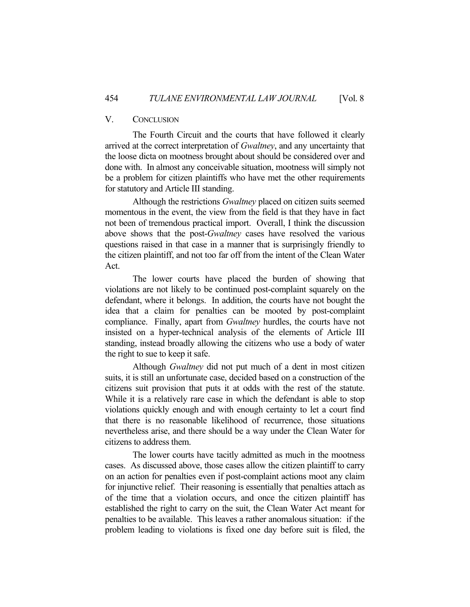## V. CONCLUSION

 The Fourth Circuit and the courts that have followed it clearly arrived at the correct interpretation of *Gwaltney*, and any uncertainty that the loose dicta on mootness brought about should be considered over and done with. In almost any conceivable situation, mootness will simply not be a problem for citizen plaintiffs who have met the other requirements for statutory and Article III standing.

 Although the restrictions *Gwaltney* placed on citizen suits seemed momentous in the event, the view from the field is that they have in fact not been of tremendous practical import. Overall, I think the discussion above shows that the post-*Gwaltney* cases have resolved the various questions raised in that case in a manner that is surprisingly friendly to the citizen plaintiff, and not too far off from the intent of the Clean Water Act.

 The lower courts have placed the burden of showing that violations are not likely to be continued post-complaint squarely on the defendant, where it belongs. In addition, the courts have not bought the idea that a claim for penalties can be mooted by post-complaint compliance. Finally, apart from *Gwaltney* hurdles, the courts have not insisted on a hyper-technical analysis of the elements of Article III standing, instead broadly allowing the citizens who use a body of water the right to sue to keep it safe.

 Although *Gwaltney* did not put much of a dent in most citizen suits, it is still an unfortunate case, decided based on a construction of the citizens suit provision that puts it at odds with the rest of the statute. While it is a relatively rare case in which the defendant is able to stop violations quickly enough and with enough certainty to let a court find that there is no reasonable likelihood of recurrence, those situations nevertheless arise, and there should be a way under the Clean Water for citizens to address them.

 The lower courts have tacitly admitted as much in the mootness cases. As discussed above, those cases allow the citizen plaintiff to carry on an action for penalties even if post-complaint actions moot any claim for injunctive relief. Their reasoning is essentially that penalties attach as of the time that a violation occurs, and once the citizen plaintiff has established the right to carry on the suit, the Clean Water Act meant for penalties to be available. This leaves a rather anomalous situation: if the problem leading to violations is fixed one day before suit is filed, the